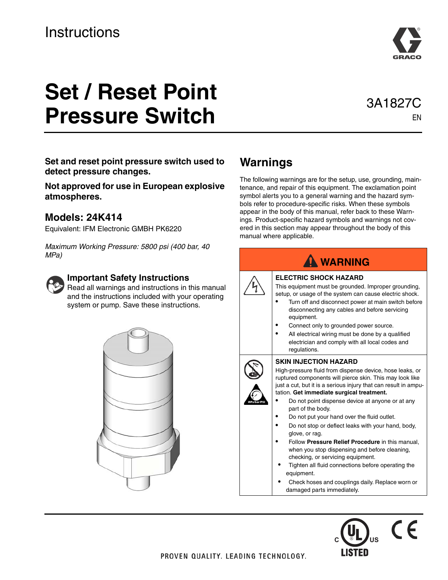

# **Set / Reset Point Pressure Switch**

## 3A1827C EN

**Set and reset point pressure switch used to detect pressure changes.** 

**Not approved for use in European explosive atmospheres.**

#### **Models: 24K414**

Equivalent: IFM Electronic GMBH PK6220

*Maximum Working Pressure: 5800 psi (400 bar, 40 MPa)*



#### **Important Safety Instructions**

 $\mathbf{F}$  Read all warnings and instructions in this manual and the instructions included with your operating system or pump. Save these instructions.



## **Warnings**

The following warnings are for the setup, use, grounding, maintenance, and repair of this equipment. The exclamation point symbol alerts you to a general warning and the hazard symbols refer to procedure-specific risks. When these symbols appear in the body of this manual, refer back to these Warnings. Product-specific hazard symbols and warnings not covered in this section may appear throughout the body of this manual where applicable.

| <b>WARNING</b> |                                                                                                                                                                                                                                                                                                                                                                                                                                                                                                                                                                                                                                                                                                                                                                      |  |  |  |
|----------------|----------------------------------------------------------------------------------------------------------------------------------------------------------------------------------------------------------------------------------------------------------------------------------------------------------------------------------------------------------------------------------------------------------------------------------------------------------------------------------------------------------------------------------------------------------------------------------------------------------------------------------------------------------------------------------------------------------------------------------------------------------------------|--|--|--|
|                | <b>ELECTRIC SHOCK HAZARD</b><br>This equipment must be grounded. Improper grounding,<br>setup, or usage of the system can cause electric shock.<br>Turn off and disconnect power at main switch before<br>disconnecting any cables and before servicing<br>equipment.<br>Connect only to grounded power source.<br>All electrical wiring must be done by a qualified<br>electrician and comply with all local codes and<br>regulations.                                                                                                                                                                                                                                                                                                                              |  |  |  |
|                | <b>SKIN INJECTION HAZARD</b><br>High-pressure fluid from dispense device, hose leaks, or<br>ruptured components will pierce skin. This may look like<br>just a cut, but it is a serious injury that can result in ampu-<br>tation. Get immediate surgical treatment.<br>Do not point dispense device at anyone or at any<br>part of the body.<br>Do not put your hand over the fluid outlet.<br>Do not stop or deflect leaks with your hand, body,<br>glove, or rag.<br>Follow Pressure Relief Procedure in this manual,<br>when you stop dispensing and before cleaning,<br>checking, or servicing equipment.<br>Tighten all fluid connections before operating the<br>equipment.<br>Check hoses and couplings daily. Replace worn or<br>damaged parts immediately. |  |  |  |

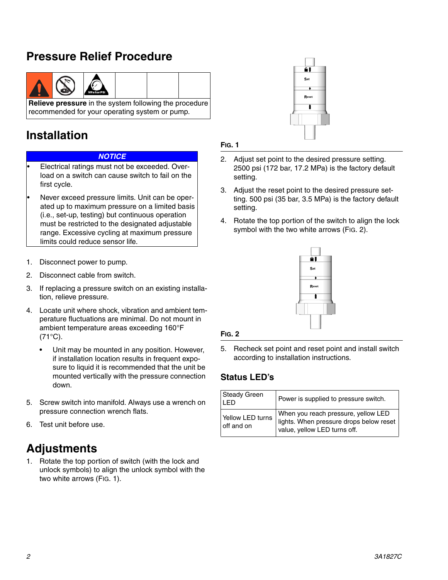## **Pressure Relief Procedure**



## **Installation**

#### *NOTICE*

- Electrical ratings must not be exceeded. Overload on a switch can cause switch to fail on the first cycle.
- Never exceed pressure limits. Unit can be operated up to maximum pressure on a limited basis (i.e., set-up, testing) but continuous operation must be restricted to the designated adjustable range. Excessive cycling at maximum pressure limits could reduce sensor life.
- 1. Disconnect power to pump.
- 2. Disconnect cable from switch.
- 3. If replacing a pressure switch on an existing installation, relieve pressure.
- 4. Locate unit where shock, vibration and ambient temperature fluctuations are minimal. Do not mount in ambient temperature areas exceeding 160°F  $(71^{\circ}C)$ .
	- Unit may be mounted in any position. However, if installation location results in frequent exposure to liquid it is recommended that the unit be mounted vertically with the pressure connection down.
- 5. Screw switch into manifold. Always use a wrench on pressure connection wrench flats.
- 6. Test unit before use.

## **Adjustments**

1. Rotate the top portion of switch (with the lock and unlock symbols) to align the unlock symbol with the two white arrows [\(FIG. 1\)](#page-1-0).



#### <span id="page-1-0"></span>**FIG. 1**

- 2. Adjust set point to the desired pressure setting. 2500 psi (172 bar, 17.2 MPa) is the factory default setting.
- 3. Adjust the reset point to the desired pressure setting. 500 psi (35 bar, 3.5 MPa) is the factory default setting.
- 4. Rotate the top portion of the switch to align the lock symbol with the two white arrows [\(FIG. 2](#page-1-1)).



#### <span id="page-1-1"></span>**FIG. 2**

5. Recheck set point and reset point and install switch according to installation instructions.

#### **Status LED's**

| <b>Steady Green</b><br>I ED | Power is supplied to pressure switch.                                          |
|-----------------------------|--------------------------------------------------------------------------------|
| Yellow LED turns            | When you reach pressure, yellow LED<br>lights. When pressure drops below reset |
| off and on                  | value, yellow LED turns off.                                                   |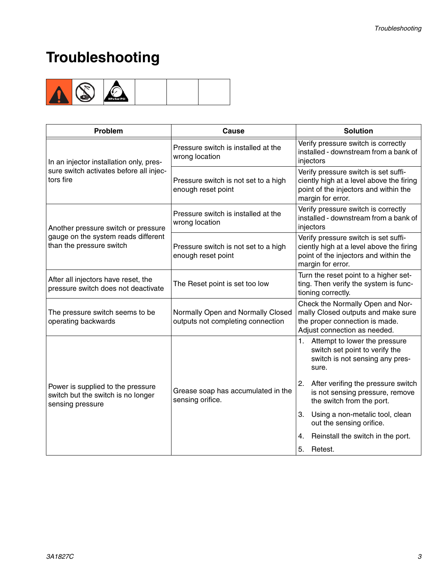## **Troubleshooting**



| Problem                                                                                     | Cause                                                                  | <b>Solution</b>                                                                                                                                |  |
|---------------------------------------------------------------------------------------------|------------------------------------------------------------------------|------------------------------------------------------------------------------------------------------------------------------------------------|--|
| In an injector installation only, pres-                                                     | Pressure switch is installed at the<br>wrong location                  | Verify pressure switch is correctly<br>installed - downstream from a bank of<br>injectors                                                      |  |
| sure switch activates before all injec-<br>tors fire                                        | Pressure switch is not set to a high<br>enough reset point             | Verify pressure switch is set suffi-<br>ciently high at a level above the firing<br>point of the injectors and within the<br>margin for error. |  |
| Another pressure switch or pressure                                                         | Pressure switch is installed at the<br>wrong location                  | Verify pressure switch is correctly<br>installed - downstream from a bank of<br>injectors                                                      |  |
| gauge on the system reads different<br>than the pressure switch                             | Pressure switch is not set to a high<br>enough reset point             | Verify pressure switch is set suffi-<br>ciently high at a level above the firing<br>point of the injectors and within the<br>margin for error. |  |
| After all injectors have reset, the<br>pressure switch does not deactivate                  | The Reset point is set too low                                         | Turn the reset point to a higher set-<br>ting. Then verify the system is func-<br>tioning correctly.                                           |  |
| The pressure switch seems to be<br>operating backwards                                      | Normally Open and Normally Closed<br>outputs not completing connection | Check the Normally Open and Nor-<br>mally Closed outputs and make sure<br>the proper connection is made.<br>Adjust connection as needed.       |  |
|                                                                                             | Grease soap has accumulated in the<br>sensing orifice.                 | $1_{-}$<br>Attempt to lower the pressure<br>switch set point to verify the<br>switch is not sensing any pres-<br>sure.                         |  |
| Power is supplied to the pressure<br>switch but the switch is no longer<br>sensing pressure |                                                                        | After verifing the pressure switch<br>2.<br>is not sensing pressure, remove<br>the switch from the port.                                       |  |
|                                                                                             |                                                                        | Using a non-metalic tool, clean<br>3.<br>out the sensing orifice.                                                                              |  |
|                                                                                             |                                                                        | Reinstall the switch in the port.<br>4.                                                                                                        |  |
|                                                                                             |                                                                        | 5.<br>Retest.                                                                                                                                  |  |